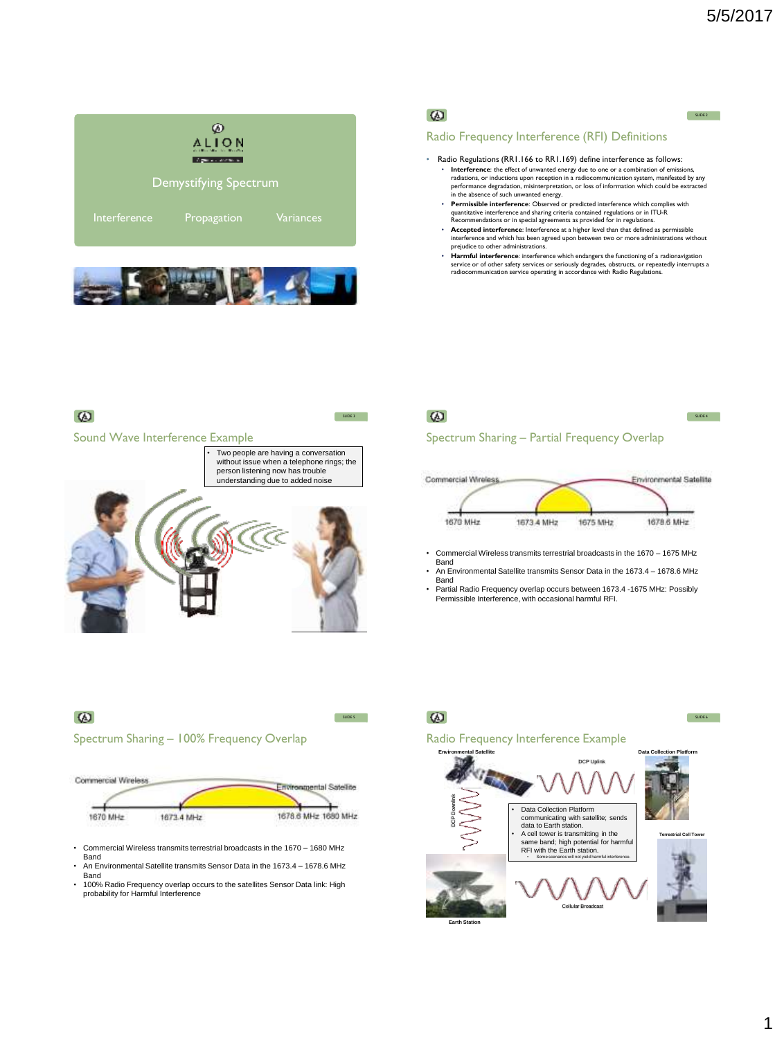SLIDE 2

SLIDE 4





## $\omega$

#### Radio Frequency Interference (RFI) Definitions

- Radio Regulations (RR1.166 to RR1.169) define interference as follows: Interference: the effect of unwanted energy due to one or a combination of emissi radiations, or inductions upon reception in a radiocommunication system, manifested by any<br>performance degradation, misinterpretation, or loss of information which could be extracted<br>in the absence of such unwanted energy.
	- **Permissible interference**: Observed or predicted interference which comp quantitative interference and sharing criteria contained regulations or in ITU-R Recommendations or in special agreements as provided for in regulations.
	- **Accepted interference**: Interference at a higher level than that defined as permissible interference and which has been agreed upon between two or more administrations without prejudice to other administrations.
	- **Harmful interference**: interference which endangers the functioning of a radionavigation service or of other safety services or seriously degrades, obstructs, or repeatedly interrupts a radiocommunication service operating in accordance with Radio Regulations.



# $\omega$

## Spectrum Sharing – Partial Frequency Overlap



- Commercial Wireless transmits terrestrial broadcasts in the 1670 1675 MHz
- Band • An Environmental Satellite transmits Sensor Data in the 1673.4 – 1678.6 MHz Band
- Partial Radio Frequency overlap occurs between 1673.4 -1675 MHz: Possibly Permissible Interference, with occasional harmful RFI.



 $\omega$ 

SLIDE 5

- Commercial Wireless transmits terrestrial broadcasts in the 1670 1680 MHz **Band**
- An Environmental Satellite transmits Sensor Data in the 1673.4 1678.6 MHz Band
- 100% Radio Frequency overlap occurs to the satellites Sensor Data link: High probability for Harmful Interference



1